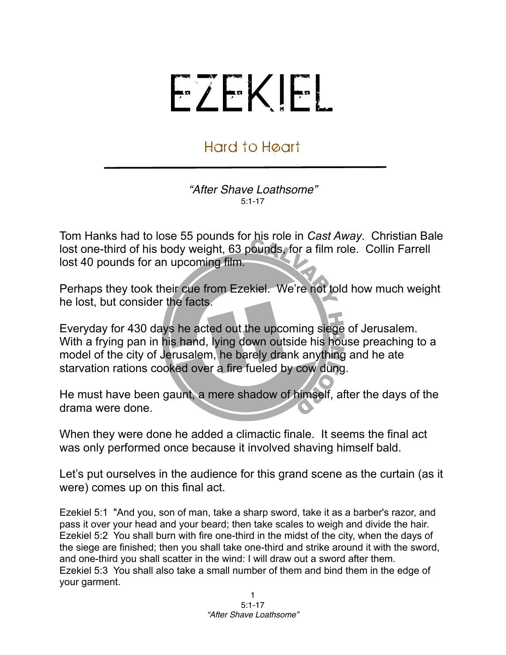## EZEKIEL

## Hard to Heart

*"After Shave Loathsome"* 5:1-17

Tom Hanks had to lose 55 pounds for his role in *Cast Away*. Christian Bale lost one-third of his body weight, 63 pounds, for a film role. Collin Farrell lost 40 pounds for an upcoming film.

Perhaps they took their cue from Ezekiel. We're not told how much weight he lost, but consider the facts.

Everyday for 430 days he acted out the upcoming siege of Jerusalem. With a frying pan in his hand, lying down outside his house preaching to a model of the city of Jerusalem, he barely drank anything and he ate starvation rations cooked over a fire fueled by cow dung.

He must have been gaunt, a mere shadow of himself, after the days of the drama were done.

When they were done he added a climactic finale. It seems the final act was only performed once because it involved shaving himself bald.

Let's put ourselves in the audience for this grand scene as the curtain (as it were) comes up on this final act.

Ezekiel 5:1 "And you, son of man, take a sharp sword, take it as a barber's razor, and pass it over your head and your beard; then take scales to weigh and divide the hair. Ezekiel 5:2 You shall burn with fire one-third in the midst of the city, when the days of the siege are finished; then you shall take one-third and strike around it with the sword, and one-third you shall scatter in the wind: I will draw out a sword after them. Ezekiel 5:3 You shall also take a small number of them and bind them in the edge of your garment.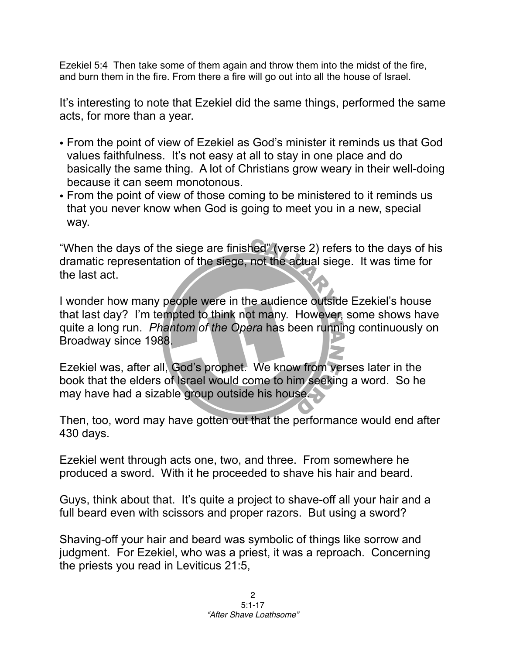Ezekiel 5:4 Then take some of them again and throw them into the midst of the fire, and burn them in the fire. From there a fire will go out into all the house of Israel.

It's interesting to note that Ezekiel did the same things, performed the same acts, for more than a year.

- From the point of view of Ezekiel as God's minister it reminds us that God values faithfulness. It's not easy at all to stay in one place and do basically the same thing. A lot of Christians grow weary in their well-doing because it can seem monotonous.
- From the point of view of those coming to be ministered to it reminds us that you never know when God is going to meet you in a new, special way.

"When the days of the siege are finished" (verse 2) refers to the days of his dramatic representation of the siege, not the actual siege. It was time for the last act.

I wonder how many people were in the audience outside Ezekiel's house that last day? I'm tempted to think not many. However, some shows have quite a long run. *Phantom of the Opera* has been running continuously on Broadway since 1988.

Ezekiel was, after all, God's prophet. We know from verses later in the book that the elders of Israel would come to him seeking a word. So he may have had a sizable group outside his house.

Then, too, word may have gotten out that the performance would end after 430 days.

Ezekiel went through acts one, two, and three. From somewhere he produced a sword. With it he proceeded to shave his hair and beard.

Guys, think about that. It's quite a project to shave-off all your hair and a full beard even with scissors and proper razors. But using a sword?

Shaving-off your hair and beard was symbolic of things like sorrow and judgment. For Ezekiel, who was a priest, it was a reproach. Concerning the priests you read in Leviticus 21:5,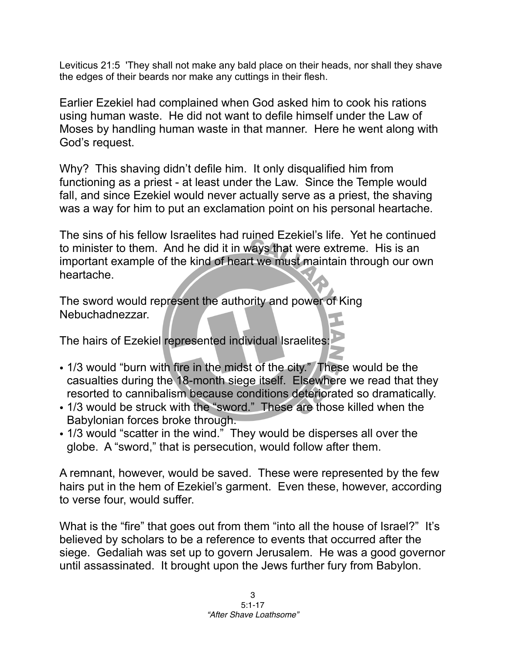Leviticus 21:5 'They shall not make any bald place on their heads, nor shall they shave the edges of their beards nor make any cuttings in their flesh.

Earlier Ezekiel had complained when God asked him to cook his rations using human waste. He did not want to defile himself under the Law of Moses by handling human waste in that manner. Here he went along with God's request.

Why? This shaving didn't defile him. It only disqualified him from functioning as a priest - at least under the Law. Since the Temple would fall, and since Ezekiel would never actually serve as a priest, the shaving was a way for him to put an exclamation point on his personal heartache.

The sins of his fellow Israelites had ruined Ezekiel's life. Yet he continued to minister to them. And he did it in ways that were extreme. His is an important example of the kind of heart we must maintain through our own heartache.

The sword would represent the authority and power of King Nebuchadnezzar.

The hairs of Ezekiel represented individual Israelites:

- 1/3 would "burn with fire in the midst of the city." These would be the casualties during the 18-month siege itself. Elsewhere we read that they resorted to cannibalism because conditions deteriorated so dramatically.
- 1/3 would be struck with the "sword." These are those killed when the Babylonian forces broke through.
- 1/3 would "scatter in the wind." They would be disperses all over the globe. A "sword," that is persecution, would follow after them.

A remnant, however, would be saved. These were represented by the few hairs put in the hem of Ezekiel's garment. Even these, however, according to verse four, would suffer.

What is the "fire" that goes out from them "into all the house of Israel?" It's believed by scholars to be a reference to events that occurred after the siege. Gedaliah was set up to govern Jerusalem. He was a good governor until assassinated. It brought upon the Jews further fury from Babylon.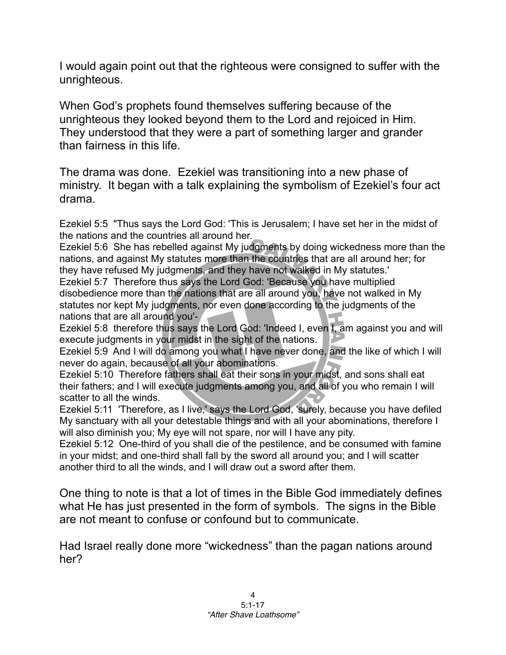I would again point out that the righteous were consigned to suffer with the unrighteous.

When God's prophets found themselves suffering because of the unrighteous they looked beyond them to the Lord and rejoiced in Him. They understood that they were a part of something larger and grander than fairness in this life.

The drama was done. Ezekiel was transitioning into a new phase of ministry. It began with a talk explaining the symbolism of Ezekiel's four act drama.

Ezekiel 5:5 "Thus says the Lord God: 'This is Jerusalem; I have set her in the midst of the nations and the countries all around her.

Ezekiel 5:6 She has rebelled against My judgments by doing wickedness more than the nations, and against My statutes more than the countries that are all around her; for they have refused My judgments, and they have not walked in My statutes.' Ezekiel 5:7 Therefore thus says the Lord God: 'Because you have multiplied disobedience more than the nations that are all around you, have not walked in My

statutes nor kept My judgments, nor even done according to the judgments of the nations that are all around you'-

Ezekiel 5:8 therefore thus says the Lord God: 'Indeed I, even I, am against you and will execute judgments in your midst in the sight of the nations.

Ezekiel 5:9 And I will do among you what I have never done, and the like of which I will never do again, because of all your abominations.

Ezekiel 5:10 Therefore fathers shall eat their sons in your midst, and sons shall eat their fathers; and I will execute judgments among you, and all of you who remain I will scatter to all the winds.

Ezekiel 5:11 'Therefore, as I live,' says the Lord God, 'surely, because you have defiled My sanctuary with all your detestable things and with all your abominations, therefore I will also diminish you; My eye will not spare, nor will I have any pity.

Ezekiel 5:12 One-third of you shall die of the pestilence, and be consumed with famine in your midst; and one-third shall fall by the sword all around you; and I will scatter another third to all the winds, and I will draw out a sword after them.

One thing to note is that a lot of times in the Bible God immediately defines what He has just presented in the form of symbols. The signs in the Bible are not meant to confuse or confound but to communicate.

Had Israel really done more "wickedness" than the pagan nations around her?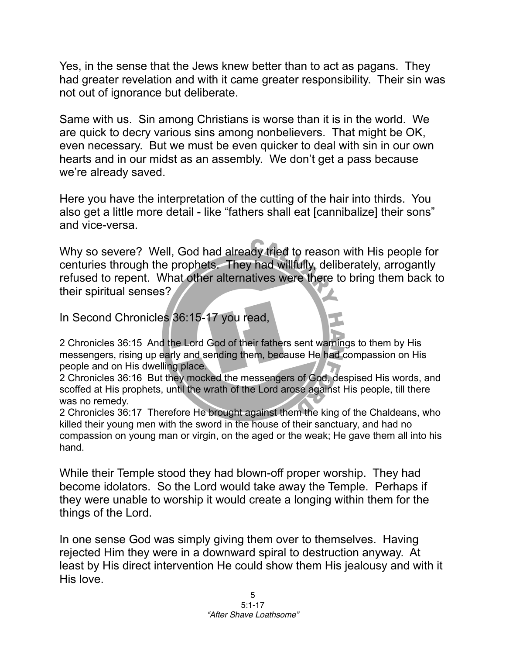Yes, in the sense that the Jews knew better than to act as pagans. They had greater revelation and with it came greater responsibility. Their sin was not out of ignorance but deliberate.

Same with us. Sin among Christians is worse than it is in the world. We are quick to decry various sins among nonbelievers. That might be OK, even necessary. But we must be even quicker to deal with sin in our own hearts and in our midst as an assembly. We don't get a pass because we're already saved.

Here you have the interpretation of the cutting of the hair into thirds. You also get a little more detail - like "fathers shall eat [cannibalize] their sons" and vice-versa.

Why so severe? Well, God had already tried to reason with His people for centuries through the prophets. They had willfully, deliberately, arrogantly refused to repent. What other alternatives were there to bring them back to their spiritual senses?

In Second Chronicles 36:15-17 you read,

2 Chronicles 36:15 And the Lord God of their fathers sent warnings to them by His messengers, rising up early and sending them, because He had compassion on His people and on His dwelling place.

2 Chronicles 36:16 But they mocked the messengers of God, despised His words, and scoffed at His prophets, until the wrath of the Lord arose against His people, till there was no remedy.

2 Chronicles 36:17 Therefore He brought against them the king of the Chaldeans, who killed their young men with the sword in the house of their sanctuary, and had no compassion on young man or virgin, on the aged or the weak; He gave them all into his hand.

While their Temple stood they had blown-off proper worship. They had become idolators. So the Lord would take away the Temple. Perhaps if they were unable to worship it would create a longing within them for the things of the Lord.

In one sense God was simply giving them over to themselves. Having rejected Him they were in a downward spiral to destruction anyway. At least by His direct intervention He could show them His jealousy and with it His love.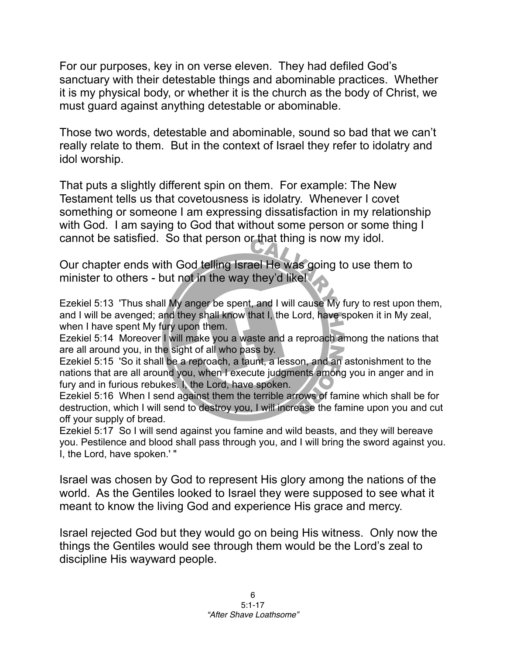For our purposes, key in on verse eleven. They had defiled God's sanctuary with their detestable things and abominable practices. Whether it is my physical body, or whether it is the church as the body of Christ, we must guard against anything detestable or abominable.

Those two words, detestable and abominable, sound so bad that we can't really relate to them. But in the context of Israel they refer to idolatry and idol worship.

That puts a slightly different spin on them. For example: The New Testament tells us that covetousness is idolatry. Whenever I covet something or someone I am expressing dissatisfaction in my relationship with God. I am saying to God that without some person or some thing I cannot be satisfied. So that person or that thing is now my idol.

Our chapter ends with God telling Israel He was going to use them to minister to others - but not in the way they'd like!

Ezekiel 5:13 'Thus shall My anger be spent, and I will cause My fury to rest upon them, and I will be avenged; and they shall know that I, the Lord, have spoken it in My zeal, when I have spent My fury upon them.

Ezekiel 5:14 Moreover I will make you a waste and a reproach among the nations that are all around you, in the sight of all who pass by.

Ezekiel 5:15 'So it shall be a reproach, a taunt, a lesson, and an astonishment to the nations that are all around you, when I execute judgments among you in anger and in fury and in furious rebukes. I, the Lord, have spoken.

Ezekiel 5:16 When I send against them the terrible arrows of famine which shall be for destruction, which I will send to destroy you, I will increase the famine upon you and cut off your supply of bread.

Ezekiel 5:17 So I will send against you famine and wild beasts, and they will bereave you. Pestilence and blood shall pass through you, and I will bring the sword against you. I, the Lord, have spoken.' "

Israel was chosen by God to represent His glory among the nations of the world. As the Gentiles looked to Israel they were supposed to see what it meant to know the living God and experience His grace and mercy.

Israel rejected God but they would go on being His witness. Only now the things the Gentiles would see through them would be the Lord's zeal to discipline His wayward people.